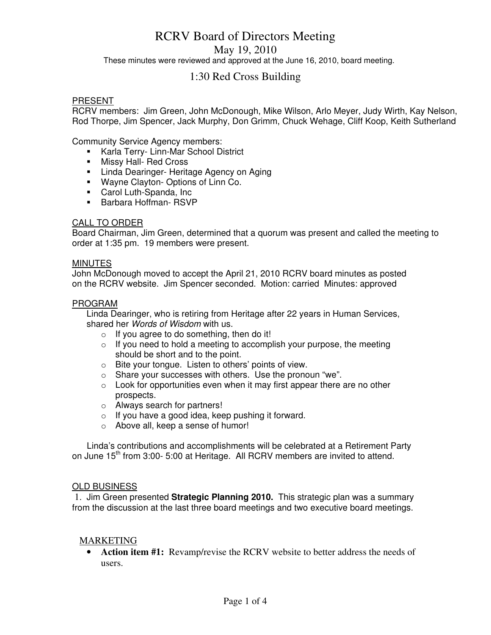# RCRV Board of Directors Meeting

May 19, 2010

These minutes were reviewed and approved at the June 16, 2010, board meeting.

# 1:30 Red Cross Building

# PRESENT

RCRV members: Jim Green, John McDonough, Mike Wilson, Arlo Meyer, Judy Wirth, Kay Nelson, Rod Thorpe, Jim Spencer, Jack Murphy, Don Grimm, Chuck Wehage, Cliff Koop, Keith Sutherland

Community Service Agency members:

- **Karla Terry- Linn-Mar School District**
- **Nissy Hall- Red Cross**
- **E.** Linda Dearinger- Heritage Agency on Aging
- Wayne Clayton- Options of Linn Co.
- Carol Luth-Spanda, Inc
- Barbara Hoffman-RSVP

# CALL TO ORDER

Board Chairman, Jim Green, determined that a quorum was present and called the meeting to order at 1:35 pm. 19 members were present.

#### **MINUTES**

John McDonough moved to accept the April 21, 2010 RCRV board minutes as posted on the RCRV website. Jim Spencer seconded. Motion: carried Minutes: approved

#### PROGRAM

Linda Dearinger, who is retiring from Heritage after 22 years in Human Services, shared her Words of Wisdom with us.

- $\circ$  If you agree to do something, then do it!
- o If you need to hold a meeting to accomplish your purpose, the meeting should be short and to the point.
- o Bite your tongue. Listen to others' points of view.
- o Share your successes with others. Use the pronoun "we".
- $\circ$  Look for opportunities even when it may first appear there are no other prospects.
- o Always search for partners!
- o If you have a good idea, keep pushing it forward.
- o Above all, keep a sense of humor!

 Linda's contributions and accomplishments will be celebrated at a Retirement Party on June  $15<sup>th</sup>$  from 3:00- 5:00 at Heritage. All RCRV members are invited to attend.

# **OLD BUSINESS**

 1. Jim Green presented **Strategic Planning 2010.** This strategic plan was a summary from the discussion at the last three board meetings and two executive board meetings.

# MARKETING

• **Action item #1:** Revamp/revise the RCRV website to better address the needs of users.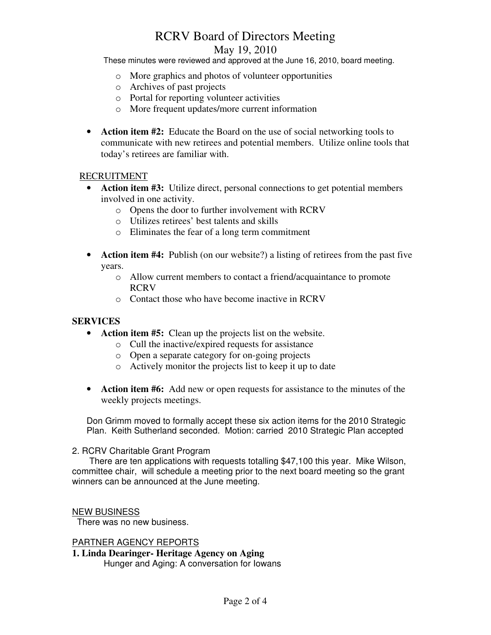# RCRV Board of Directors Meeting May 19, 2010

These minutes were reviewed and approved at the June 16, 2010, board meeting.

- o More graphics and photos of volunteer opportunities
- o Archives of past projects
- o Portal for reporting volunteer activities
- o More frequent updates/more current information
- **Action item #2:** Educate the Board on the use of social networking tools to communicate with new retirees and potential members. Utilize online tools that today's retirees are familiar with.

# RECRUITMENT

- **Action item #3:** Utilize direct, personal connections to get potential members involved in one activity.
	- o Opens the door to further involvement with RCRV
	- o Utilizes retirees' best talents and skills
	- o Eliminates the fear of a long term commitment
- **Action item #4:** Publish (on our website?) a listing of retirees from the past five years.
	- o Allow current members to contact a friend/acquaintance to promote RCRV
	- o Contact those who have become inactive in RCRV

# **SERVICES**

- **Action item #5:** Clean up the projects list on the website.
	- o Cull the inactive/expired requests for assistance
	- o Open a separate category for on-going projects
	- o Actively monitor the projects list to keep it up to date
- **Action item #6:** Add new or open requests for assistance to the minutes of the weekly projects meetings.

Don Grimm moved to formally accept these six action items for the 2010 Strategic Plan. Keith Sutherland seconded. Motion: carried 2010 Strategic Plan accepted

# 2. RCRV Charitable Grant Program

 There are ten applications with requests totalling \$47,100 this year. Mike Wilson, committee chair, will schedule a meeting prior to the next board meeting so the grant winners can be announced at the June meeting.

# NEW BUSINESS

There was no new business.

# PARTNER AGENCY REPORTS

**1. Linda Dearinger- Heritage Agency on Aging**  Hunger and Aging: A conversation for Iowans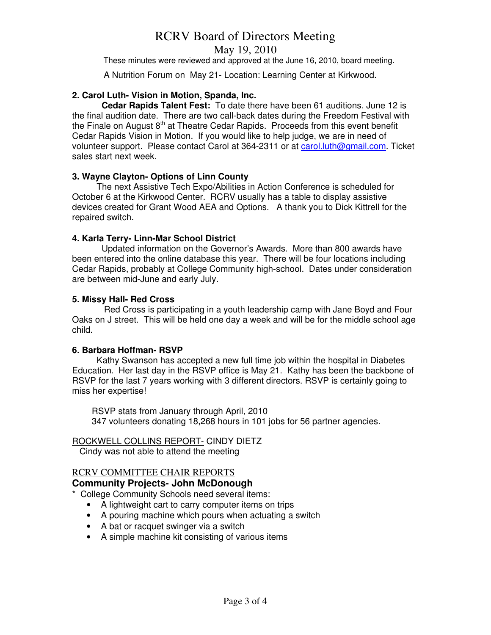# RCRV Board of Directors Meeting

May 19, 2010

These minutes were reviewed and approved at the June 16, 2010, board meeting.

A Nutrition Forum on May 21- Location: Learning Center at Kirkwood.

# **2. Carol Luth- Vision in Motion, Spanda, Inc.**

 **Cedar Rapids Talent Fest:** To date there have been 61 auditions. June 12 is the final audition date. There are two call-back dates during the Freedom Festival with the Finale on August  $8<sup>th</sup>$  at Theatre Cedar Rapids. Proceeds from this event benefit Cedar Rapids Vision in Motion. If you would like to help judge, we are in need of volunteer support. Please contact Carol at 364-2311 or at carol.luth@gmail.com. Ticket sales start next week.

# **3. Wayne Clayton- Options of Linn County**

 The next Assistive Tech Expo/Abilities in Action Conference is scheduled for October 6 at the Kirkwood Center. RCRV usually has a table to display assistive devices created for Grant Wood AEA and Options. A thank you to Dick Kittrell for the repaired switch.

# **4. Karla Terry- Linn-Mar School District**

 Updated information on the Governor's Awards. More than 800 awards have been entered into the online database this year. There will be four locations including Cedar Rapids, probably at College Community high-school. Dates under consideration are between mid-June and early July.

# **5. Missy Hall- Red Cross**

 Red Cross is participating in a youth leadership camp with Jane Boyd and Four Oaks on J street. This will be held one day a week and will be for the middle school age child.

# **6. Barbara Hoffman- RSVP**

 Kathy Swanson has accepted a new full time job within the hospital in Diabetes Education. Her last day in the RSVP office is May 21. Kathy has been the backbone of RSVP for the last 7 years working with 3 different directors. RSVP is certainly going to miss her expertise!

 RSVP stats from January through April, 2010 347 volunteers donating 18,268 hours in 101 jobs for 56 partner agencies.

# ROCKWELL COLLINS REPORT- CINDY DIETZ

Cindy was not able to attend the meeting

# RCRV COMMITTEE CHAIR REPORTS

# **Community Projects- John McDonough**

\* College Community Schools need several items:

- A lightweight cart to carry computer items on trips
- A pouring machine which pours when actuating a switch
- A bat or racquet swinger via a switch
- A simple machine kit consisting of various items